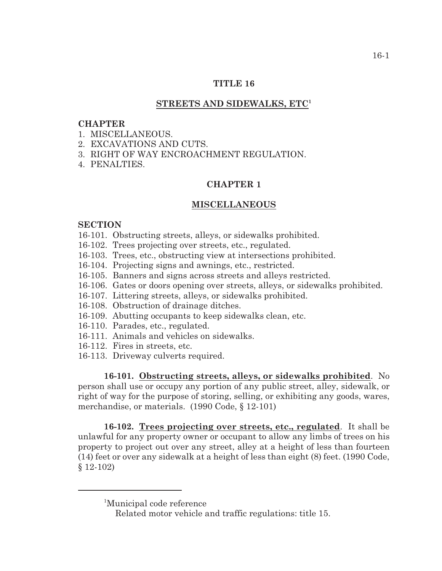## **TITLE 16**

### **STREETS AND SIDEWALKS, ETC<sup>1</sup>**

#### **CHAPTER**

- 1. MISCELLANEOUS.
- 2. EXCAVATIONS AND CUTS.
- 3. RIGHT OF WAY ENCROACHMENT REGULATION.
- 4. PENALTIES.

#### **CHAPTER 1**

#### **MISCELLANEOUS**

### **SECTION**

- 16-101. Obstructing streets, alleys, or sidewalks prohibited.
- 16-102. Trees projecting over streets, etc., regulated.
- 16-103. Trees, etc., obstructing view at intersections prohibited.
- 16-104. Projecting signs and awnings, etc., restricted.
- 16-105. Banners and signs across streets and alleys restricted.
- 16-106. Gates or doors opening over streets, alleys, or sidewalks prohibited.
- 16-107. Littering streets, alleys, or sidewalks prohibited.
- 16-108. Obstruction of drainage ditches.
- 16-109. Abutting occupants to keep sidewalks clean, etc.
- 16-110. Parades, etc., regulated.
- 16-111. Animals and vehicles on sidewalks.
- 16-112. Fires in streets, etc.
- 16-113. Driveway culverts required.

**16-101. Obstructing streets, alleys, or sidewalks prohibited**. No person shall use or occupy any portion of any public street, alley, sidewalk, or right of way for the purpose of storing, selling, or exhibiting any goods, wares, merchandise, or materials. (1990 Code, § 12-101)

**16-102. Trees projecting over streets, etc., regulated**. It shall be unlawful for any property owner or occupant to allow any limbs of trees on his property to project out over any street, alley at a height of less than fourteen (14) feet or over any sidewalk at a height of less than eight (8) feet. (1990 Code, § 12-102)

<sup>&</sup>lt;sup>1</sup>Municipal code reference

Related motor vehicle and traffic regulations: title 15.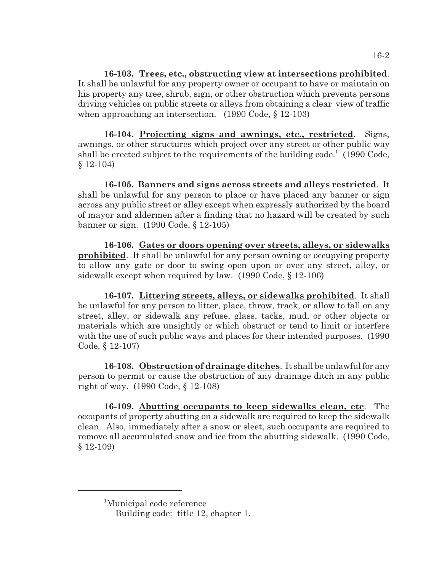**16-103. Trees, etc., obstructing view at intersections prohibited**. It shall be unlawful for any property owner or occupant to have or maintain on his property any tree, shrub, sign, or other obstruction which prevents persons driving vehicles on public streets or alleys from obtaining a clear view of traffic when approaching an intersection. (1990 Code, § 12-103)

**16-104. Projecting signs and awnings, etc., restricted**. Signs, awnings, or other structures which project over any street or other public way shall be erected subject to the requirements of the building code.<sup>1</sup> (1990 Code,  $§ 12-104)$ 

**16-105. Banners and signs across streets and alleys restricted**. It shall be unlawful for any person to place or have placed any banner or sign across any public street or alley except when expressly authorized by the board of mayor and aldermen after a finding that no hazard will be created by such banner or sign. (1990 Code, § 12-105)

**16-106. Gates or doors opening over streets, alleys, or sidewalks prohibited**. It shall be unlawful for any person owning or occupying property to allow any gate or door to swing open upon or over any street, alley, or sidewalk except when required by law. (1990 Code, § 12-106)

**16-107. Littering streets, alleys, or sidewalks prohibited**. It shall be unlawful for any person to litter, place, throw, track, or allow to fall on any street, alley, or sidewalk any refuse, glass, tacks, mud, or other objects or materials which are unsightly or which obstruct or tend to limit or interfere with the use of such public ways and places for their intended purposes. (1990) Code, § 12-107)

**16-108. Obstruction of drainage ditches**. It shall be unlawful for any person to permit or cause the obstruction of any drainage ditch in any public right of way. (1990 Code, § 12-108)

**16-109. Abutting occupants to keep sidewalks clean, etc**. The occupants of property abutting on a sidewalk are required to keep the sidewalk clean. Also, immediately after a snow or sleet, such occupants are required to remove all accumulated snow and ice from the abutting sidewalk. (1990 Code, § 12-109)

<sup>&</sup>lt;sup>1</sup>Municipal code reference

Building code: title 12, chapter 1.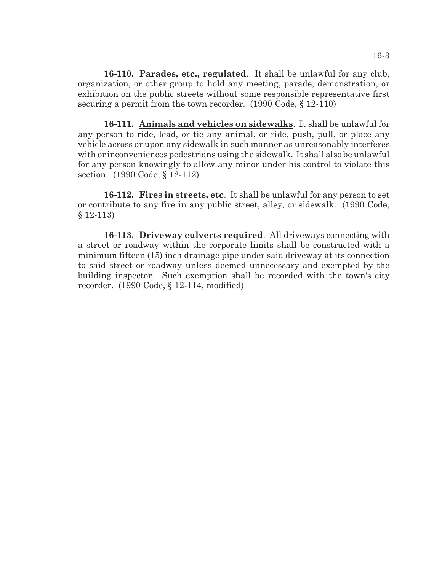**16-110. Parades, etc., regulated**. It shall be unlawful for any club, organization, or other group to hold any meeting, parade, demonstration, or exhibition on the public streets without some responsible representative first securing a permit from the town recorder. (1990 Code, § 12-110)

**16-111. Animals and vehicles on sidewalks**. It shall be unlawful for any person to ride, lead, or tie any animal, or ride, push, pull, or place any vehicle across or upon any sidewalk in such manner as unreasonably interferes with or inconveniences pedestrians using the sidewalk. It shall also be unlawful for any person knowingly to allow any minor under his control to violate this section. (1990 Code, § 12-112)

**16-112. Fires in streets, etc**. It shall be unlawful for any person to set or contribute to any fire in any public street, alley, or sidewalk. (1990 Code, § 12-113)

**16-113. Driveway culverts required**. All driveways connecting with a street or roadway within the corporate limits shall be constructed with a minimum fifteen (15) inch drainage pipe under said driveway at its connection to said street or roadway unless deemed unnecessary and exempted by the building inspector. Such exemption shall be recorded with the town's city recorder. (1990 Code, § 12-114, modified)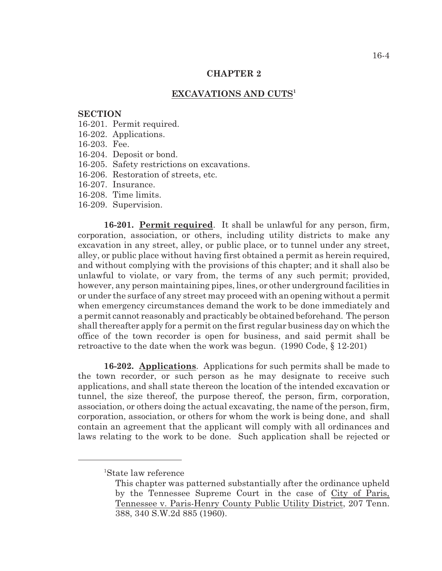#### **CHAPTER 2**

### **EXCAVATIONS AND CUTS<sup>1</sup>**

#### **SECTION**

- 16-201. Permit required.
- 16-202. Applications.
- 16-203. Fee.
- 16-204. Deposit or bond.
- 16-205. Safety restrictions on excavations.
- 16-206. Restoration of streets, etc.
- 16-207. Insurance.
- 16-208. Time limits.
- 16-209. Supervision.

**16-201. Permit required**. It shall be unlawful for any person, firm, corporation, association, or others, including utility districts to make any excavation in any street, alley, or public place, or to tunnel under any street, alley, or public place without having first obtained a permit as herein required, and without complying with the provisions of this chapter; and it shall also be unlawful to violate, or vary from, the terms of any such permit; provided, however, any person maintaining pipes, lines, or other underground facilities in or under the surface of any street may proceed with an opening without a permit when emergency circumstances demand the work to be done immediately and a permit cannot reasonably and practicably be obtained beforehand. The person shall thereafter apply for a permit on the first regular business day on which the office of the town recorder is open for business, and said permit shall be retroactive to the date when the work was begun. (1990 Code, § 12-201)

**16-202. Applications**. Applications for such permits shall be made to the town recorder, or such person as he may designate to receive such applications, and shall state thereon the location of the intended excavation or tunnel, the size thereof, the purpose thereof, the person, firm, corporation, association, or others doing the actual excavating, the name of the person, firm, corporation, association, or others for whom the work is being done, and shall contain an agreement that the applicant will comply with all ordinances and laws relating to the work to be done. Such application shall be rejected or

<sup>&</sup>lt;sup>1</sup>State law reference

This chapter was patterned substantially after the ordinance upheld by the Tennessee Supreme Court in the case of City of Paris, Tennessee v. Paris-Henry County Public Utility District, 207 Tenn. 388, 340 S.W.2d 885 (1960).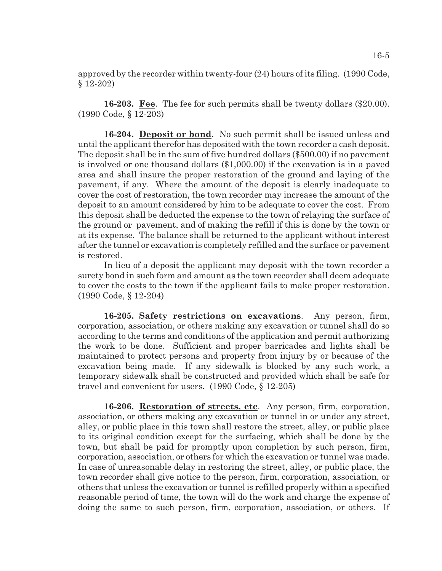approved by the recorder within twenty-four (24) hours of its filing. (1990 Code, § 12-202)

**16-203. Fee**. The fee for such permits shall be twenty dollars (\$20.00). (1990 Code, § 12-203)

**16-204. Deposit or bond**. No such permit shall be issued unless and until the applicant therefor has deposited with the town recorder a cash deposit. The deposit shall be in the sum of five hundred dollars (\$500.00) if no pavement is involved or one thousand dollars (\$1,000.00) if the excavation is in a paved area and shall insure the proper restoration of the ground and laying of the pavement, if any. Where the amount of the deposit is clearly inadequate to cover the cost of restoration, the town recorder may increase the amount of the deposit to an amount considered by him to be adequate to cover the cost. From this deposit shall be deducted the expense to the town of relaying the surface of the ground or pavement, and of making the refill if this is done by the town or at its expense. The balance shall be returned to the applicant without interest after the tunnel or excavation is completely refilled and the surface or pavement is restored.

In lieu of a deposit the applicant may deposit with the town recorder a surety bond in such form and amount as the town recorder shall deem adequate to cover the costs to the town if the applicant fails to make proper restoration. (1990 Code, § 12-204)

**16-205. Safety restrictions on excavations**. Any person, firm, corporation, association, or others making any excavation or tunnel shall do so according to the terms and conditions of the application and permit authorizing the work to be done. Sufficient and proper barricades and lights shall be maintained to protect persons and property from injury by or because of the excavation being made. If any sidewalk is blocked by any such work, a temporary sidewalk shall be constructed and provided which shall be safe for travel and convenient for users. (1990 Code, § 12-205)

**16-206. Restoration of streets, etc**. Any person, firm, corporation, association, or others making any excavation or tunnel in or under any street, alley, or public place in this town shall restore the street, alley, or public place to its original condition except for the surfacing, which shall be done by the town, but shall be paid for promptly upon completion by such person, firm, corporation, association, or others for which the excavation or tunnel was made. In case of unreasonable delay in restoring the street, alley, or public place, the town recorder shall give notice to the person, firm, corporation, association, or others that unless the excavation or tunnel is refilled properly within a specified reasonable period of time, the town will do the work and charge the expense of doing the same to such person, firm, corporation, association, or others. If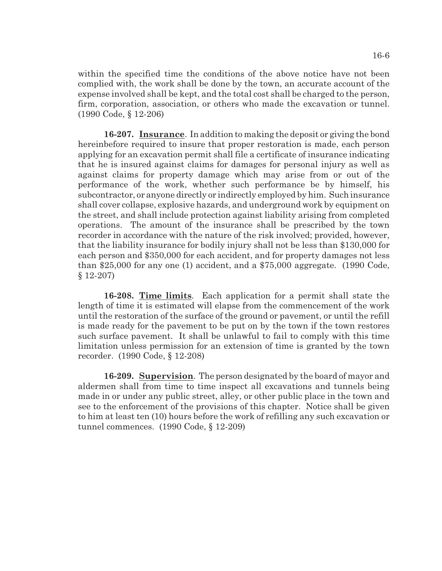within the specified time the conditions of the above notice have not been complied with, the work shall be done by the town, an accurate account of the expense involved shall be kept, and the total cost shall be charged to the person, firm, corporation, association, or others who made the excavation or tunnel. (1990 Code, § 12-206)

**16-207. Insurance**. In addition to making the deposit or giving the bond hereinbefore required to insure that proper restoration is made, each person applying for an excavation permit shall file a certificate of insurance indicating that he is insured against claims for damages for personal injury as well as against claims for property damage which may arise from or out of the performance of the work, whether such performance be by himself, his subcontractor, or anyone directly or indirectly employed by him. Such insurance shall cover collapse, explosive hazards, and underground work by equipment on the street, and shall include protection against liability arising from completed operations. The amount of the insurance shall be prescribed by the town recorder in accordance with the nature of the risk involved; provided, however, that the liability insurance for bodily injury shall not be less than \$130,000 for each person and \$350,000 for each accident, and for property damages not less than \$25,000 for any one (1) accident, and a \$75,000 aggregate. (1990 Code, § 12-207)

**16-208. Time limits**. Each application for a permit shall state the length of time it is estimated will elapse from the commencement of the work until the restoration of the surface of the ground or pavement, or until the refill is made ready for the pavement to be put on by the town if the town restores such surface pavement. It shall be unlawful to fail to comply with this time limitation unless permission for an extension of time is granted by the town recorder. (1990 Code, § 12-208)

**16-209. Supervision**. The person designated by the board of mayor and aldermen shall from time to time inspect all excavations and tunnels being made in or under any public street, alley, or other public place in the town and see to the enforcement of the provisions of this chapter. Notice shall be given to him at least ten (10) hours before the work of refilling any such excavation or tunnel commences. (1990 Code, § 12-209)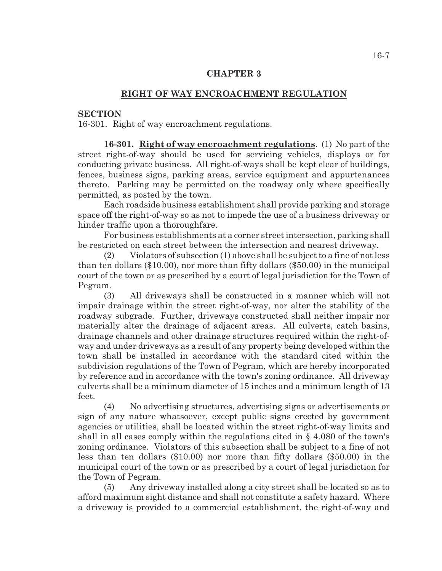## **CHAPTER 3**

## **RIGHT OF WAY ENCROACHMENT REGULATION**

## **SECTION**

16-301. Right of way encroachment regulations.

**16-301. Right of way encroachment regulations**. (1) No part of the street right-of-way should be used for servicing vehicles, displays or for conducting private business. All right-of-ways shall be kept clear of buildings, fences, business signs, parking areas, service equipment and appurtenances thereto. Parking may be permitted on the roadway only where specifically permitted, as posted by the town.

Each roadside business establishment shall provide parking and storage space off the right-of-way so as not to impede the use of a business driveway or hinder traffic upon a thoroughfare.

For business establishments at a corner street intersection, parking shall be restricted on each street between the intersection and nearest driveway.

(2) Violators of subsection (1) above shall be subject to a fine of not less than ten dollars (\$10.00), nor more than fifty dollars (\$50.00) in the municipal court of the town or as prescribed by a court of legal jurisdiction for the Town of Pegram.

(3) All driveways shall be constructed in a manner which will not impair drainage within the street right-of-way, nor alter the stability of the roadway subgrade. Further, driveways constructed shall neither impair nor materially alter the drainage of adjacent areas. All culverts, catch basins, drainage channels and other drainage structures required within the right-ofway and under driveways as a result of any property being developed within the town shall be installed in accordance with the standard cited within the subdivision regulations of the Town of Pegram, which are hereby incorporated by reference and in accordance with the town's zoning ordinance. All driveway culverts shall be a minimum diameter of 15 inches and a minimum length of 13 feet.

(4) No advertising structures, advertising signs or advertisements or sign of any nature whatsoever, except public signs erected by government agencies or utilities, shall be located within the street right-of-way limits and shall in all cases comply within the regulations cited in § 4.080 of the town's zoning ordinance. Violators of this subsection shall be subject to a fine of not less than ten dollars (\$10.00) nor more than fifty dollars (\$50.00) in the municipal court of the town or as prescribed by a court of legal jurisdiction for the Town of Pegram.

(5) Any driveway installed along a city street shall be located so as to afford maximum sight distance and shall not constitute a safety hazard. Where a driveway is provided to a commercial establishment, the right-of-way and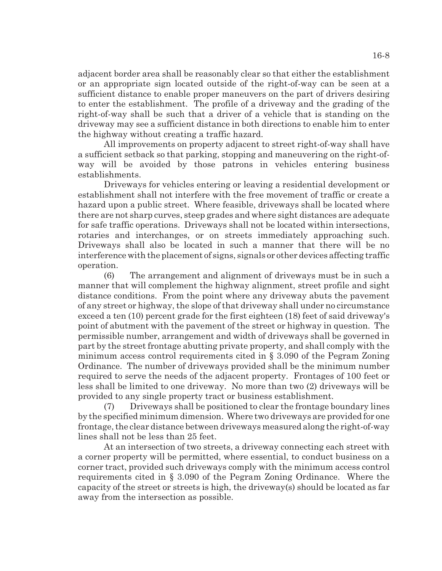adjacent border area shall be reasonably clear so that either the establishment or an appropriate sign located outside of the right-of-way can be seen at a sufficient distance to enable proper maneuvers on the part of drivers desiring to enter the establishment. The profile of a driveway and the grading of the right-of-way shall be such that a driver of a vehicle that is standing on the driveway may see a sufficient distance in both directions to enable him to enter the highway without creating a traffic hazard.

All improvements on property adjacent to street right-of-way shall have a sufficient setback so that parking, stopping and maneuvering on the right-ofway will be avoided by those patrons in vehicles entering business establishments.

Driveways for vehicles entering or leaving a residential development or establishment shall not interfere with the free movement of traffic or create a hazard upon a public street. Where feasible, driveways shall be located where there are not sharp curves, steep grades and where sight distances are adequate for safe traffic operations. Driveways shall not be located within intersections, rotaries and interchanges, or on streets immediately approaching such. Driveways shall also be located in such a manner that there will be no interference with the placement of signs, signals or other devices affecting traffic operation.

(6) The arrangement and alignment of driveways must be in such a manner that will complement the highway alignment, street profile and sight distance conditions. From the point where any driveway abuts the pavement of any street or highway, the slope of that driveway shall under no circumstance exceed a ten (10) percent grade for the first eighteen (18) feet of said driveway's point of abutment with the pavement of the street or highway in question. The permissible number, arrangement and width of driveways shall be governed in part by the street frontage abutting private property, and shall comply with the minimum access control requirements cited in § 3.090 of the Pegram Zoning Ordinance. The number of driveways provided shall be the minimum number required to serve the needs of the adjacent property. Frontages of 100 feet or less shall be limited to one driveway. No more than two (2) driveways will be provided to any single property tract or business establishment.

(7) Driveways shall be positioned to clear the frontage boundary lines by the specified minimum dimension. Where two driveways are provided for one frontage, the clear distance between driveways measured along the right-of-way lines shall not be less than 25 feet.

At an intersection of two streets, a driveway connecting each street with a corner property will be permitted, where essential, to conduct business on a corner tract, provided such driveways comply with the minimum access control requirements cited in § 3.090 of the Pegram Zoning Ordinance. Where the capacity of the street or streets is high, the driveway(s) should be located as far away from the intersection as possible.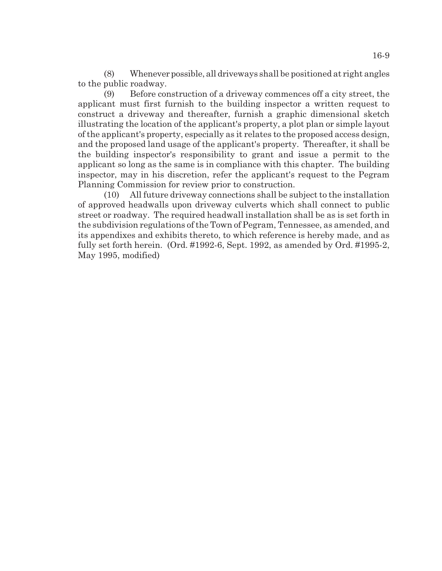(8) Whenever possible, all driveways shall be positioned at right angles to the public roadway.

(9) Before construction of a driveway commences off a city street, the applicant must first furnish to the building inspector a written request to construct a driveway and thereafter, furnish a graphic dimensional sketch illustrating the location of the applicant's property, a plot plan or simple layout of the applicant's property, especially as it relates to the proposed access design, and the proposed land usage of the applicant's property. Thereafter, it shall be the building inspector's responsibility to grant and issue a permit to the applicant so long as the same is in compliance with this chapter. The building inspector, may in his discretion, refer the applicant's request to the Pegram Planning Commission for review prior to construction.

(10) All future driveway connections shall be subject to the installation of approved headwalls upon driveway culverts which shall connect to public street or roadway. The required headwall installation shall be as is set forth in the subdivision regulations of the Town of Pegram, Tennessee, as amended, and its appendixes and exhibits thereto, to which reference is hereby made, and as fully set forth herein. (Ord. #1992-6, Sept. 1992, as amended by Ord. #1995-2, May 1995, modified)